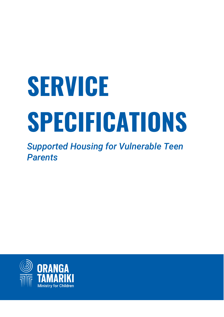# **SERVICE SPECIFICATIONS**

*Supported Housing for Vulnerable Teen Parents* 

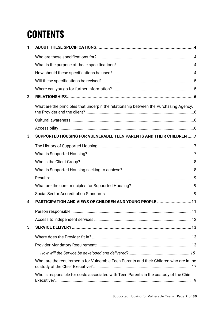# **CONTENTS**

| 1. |                                                                                         |  |
|----|-----------------------------------------------------------------------------------------|--|
|    |                                                                                         |  |
|    |                                                                                         |  |
|    |                                                                                         |  |
|    |                                                                                         |  |
|    |                                                                                         |  |
| 2. |                                                                                         |  |
|    | What are the principles that underpin the relationship between the Purchasing Agency,   |  |
|    |                                                                                         |  |
|    |                                                                                         |  |
| 3. | SUPPORTED HOUSING FOR VULNERABLE TEEN PARENTS AND THEIR CHILDREN  7                     |  |
|    |                                                                                         |  |
|    |                                                                                         |  |
|    |                                                                                         |  |
|    |                                                                                         |  |
|    |                                                                                         |  |
|    |                                                                                         |  |
|    |                                                                                         |  |
| 4. | PARTICIPATION AND VIEWS OF CHILDREN AND YOUNG PEOPLE 11                                 |  |
|    |                                                                                         |  |
|    |                                                                                         |  |
| 5. |                                                                                         |  |
|    |                                                                                         |  |
|    |                                                                                         |  |
|    |                                                                                         |  |
|    | What are the requirements for Vulnerable Teen Parents and their Children who are in the |  |
|    | Who is responsible for costs associated with Teen Parents in the custody of the Chief   |  |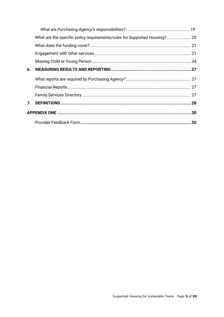| 6. |    |
|----|----|
|    |    |
|    |    |
|    |    |
| 7. |    |
|    |    |
|    | 30 |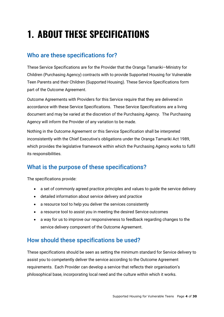# <span id="page-3-0"></span>**1. ABOUT THESE SPECIFICATIONS**

# <span id="page-3-1"></span>Who are these specifications for?

These Service Specifications are for the Provider that the Oranga Tamariki—Ministry for Children (Purchasing Agency) contracts with to provide Supported Housing for Vulnerable Teen Parents and their Children (Supported Housing). These Service Specifications form part of the Outcome Agreement.

Outcome Agreements with Providers for this Service require that they are delivered in accordance with these Service Specifications. These Service Specifications are a living document and may be varied at the discretion of the Purchasing Agency. The Purchasing Agency will inform the Provider of any variation to be made.

Nothing in the Outcome Agreement or this Service Specification shall be interpreted inconsistently with the Chief Executive's obligations under the Oranga Tamariki Act 1989, which provides the legislative framework within which the Purchasing Agency works to fulfil its responsibilities.

# <span id="page-3-2"></span>What is the purpose of these specifications?

The specifications provide:

- a set of commonly agreed practice principles and values to guide the service delivery
- detailed information about service delivery and practice
- a resource tool to help you deliver the services consistently
- a resource tool to assist you in meeting the desired Service outcomes
- a way for us to improve our responsiveness to feedback regarding changes to the service delivery component of the Outcome Agreement.

### <span id="page-3-3"></span>How should these specifications be used?

These specifications should be seen as setting the minimum standard for Service delivery to assist you to competently deliver the service according to the Outcome Agreement requirements. Each Provider can develop a service that reflects their organisation's philosophical base, incorporating local need and the culture within which it works.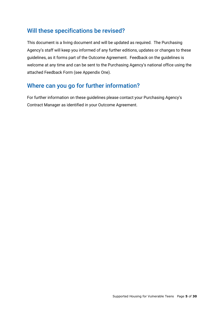### <span id="page-4-0"></span>Will these specifications be revised?

This document is a living document and will be updated as required. The Purchasing Agency's staff will keep you informed of any further editions, updates or changes to these guidelines, as it forms part of the Outcome Agreement. Feedback on the guidelines is welcome at any time and can be sent to the Purchasing Agency's national office using the attached Feedback Form (see Appendix One).

# <span id="page-4-1"></span>Where can you go for further information?

For further information on these guidelines please contact your Purchasing Agency's Contract Manager as identified in your Outcome Agreement.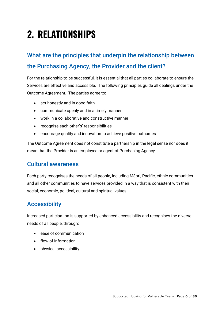# <span id="page-5-0"></span>**2. RELATIONSHIPS**

# <span id="page-5-1"></span>What are the principles that underpin the relationship between the Purchasing Agency, the Provider and the client?

For the relationship to be successful, it is essential that all parties collaborate to ensure the Services are effective and accessible. The following principles guide all dealings under the Outcome Agreement. The parties agree to:

- act honestly and in good faith
- communicate openly and in a timely manner
- work in a collaborative and constructive manner
- recognise each other's' responsibilities
- encourage quality and innovation to achieve positive outcomes

The Outcome Agreement does not constitute a partnership in the legal sense nor does it mean that the Provider is an employee or agent of Purchasing Agency.

### <span id="page-5-2"></span>Cultural awareness

Each party recognises the needs of all people, including Māori, Pacific, ethnic communities and all other communities to have services provided in a way that is consistent with their social, economic, political, cultural and spiritual values.

### <span id="page-5-3"></span>Accessibility

Increased participation is supported by enhanced accessibility and recognises the diverse needs of all people, through:

- ease of communication
- flow of information
- physical accessibility.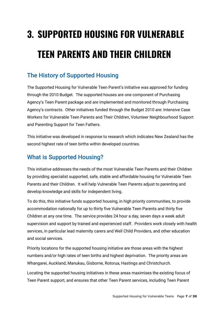# <span id="page-6-0"></span>**3. SUPPORTED HOUSING FOR VULNERABLE TEEN PARENTS AND THEIR CHILDREN**

# <span id="page-6-1"></span>The History of Supported Housing

The Supported Housing for Vulnerable Teen Parent's initiative was approved for funding through the 2010 Budget. The supported houses are one component of Purchasing Agency's Teen Parent package and are implemented and monitored through Purchasing Agency's contracts. Other initiatives funded through the Budget 2010 are: Intensive Case Workers for Vulnerable Teen Parents and Their Children, Volunteer Neighbourhood Support and Parenting Support for Teen Fathers.

This initiative was developed in response to research which indicates New Zealand has the second highest rate of teen births within developed countries.

# <span id="page-6-2"></span>What is Supported Housing?

This initiative addresses the needs of the most Vulnerable Teen Parents and their Children by providing specialist supported, safe, stable and affordable housing for Vulnerable Teen Parents and their Children. It will help Vulnerable Teen Parents adjust to parenting and develop knowledge and skills for independent living.

To do this, this initiative funds supported housing, in high priority communities, to provide accommodation nationally for up to thirty five Vulnerable Teen Parents and thirty five Children at any one time. The service provides 24 hour a day, seven days a week adult supervision and support by trained and experienced staff. Providers work closely with health services, in particular lead maternity carers and Well Child Providers, and other education and social services.

Priority locations for the supported housing initiative are those areas with the highest numbers and/or high rates of teen births and highest deprivation. The priority areas are Whangarei, Auckland, Manukau, Gisborne, Rotorua, Hastings and Christchurch.

Locating the supported housing initiatives in these areas maximises the existing focus of Teen Parent support, and ensures that other Teen Parent services, including Teen Parent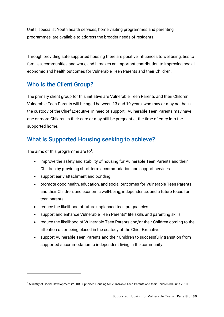Units, specialist Youth health services, home visiting programmes and parenting programmes, are available to address the broader needs of residents.

Through providing safe supported housing there are positive influences to wellbeing, ties to families, communities and work, and it makes an important contribution to improving social, economic and health outcomes for Vulnerable Teen Parents and their Children.

# <span id="page-7-0"></span>Who is the Client Group?

The primary client group for this initiative are Vulnerable Teen Parents and their Children. Vulnerable Teen Parents will be aged between 13 and 19 years, who may or may not be in the custody of the Chief Executive, in need of support. Vulnerable Teen Parents may have one or more Children in their care or may still be pregnant at the time of entry into the supported home.

# <span id="page-7-1"></span>What is Supported Housing seeking to achieve?

The aims of this programme are to $^1$ :

<u>.</u>

- improve the safety and stability of housing for Vulnerable Teen Parents and their Children by providing short-term accommodation and support services
- support early attachment and bonding
- promote good health, education, and social outcomes for Vulnerable Teen Parents and their Children, and economic well-being, independence, and a future focus for teen parents
- reduce the likelihood of future unplanned teen pregnancies
- support and enhance Vulnerable Teen Parents'' life skills and parenting skills
- reduce the likelihood of Vulnerable Teen Parents and/or their Children coming to the attention of, or being placed in the custody of the Chief Executive
- support Vulnerable Teen Parents and their Children to successfully transition from supported accommodation to independent living in the community.

<sup>1</sup> Ministry of Social Development (2010) Supported Housing for Vulnerable Teen Parents and their Children 30 June 2010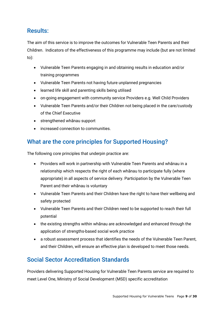## <span id="page-8-0"></span>Results:

The aim of this service is to improve the outcomes for Vulnerable Teen Parents and their Children. Indicators of the effectiveness of this programme may include (but are not limited to):

- Vulnerable Teen Parents engaging in and obtaining results in education and/or training programmes
- Vulnerable Teen Parents not having future unplanned pregnancies
- learned life skill and parenting skills being utilised
- on-going engagement with community service Providers e.g. Well Child Providers
- Vulnerable Teen Parents and/or their Children not being placed in the care/custody of the Chief Executive
- strengthened whānau support
- increased connection to communities.

# <span id="page-8-1"></span>What are the core principles for Supported Housing?

The following core principles that underpin practice are:

- Providers will work in partnership with Vulnerable Teen Parents and whānau in a relationship which respects the right of each whānau to participate fully (where appropriate) in all aspects of service delivery. Participation by the Vulnerable Teen Parent and their whānau is voluntary
- Vulnerable Teen Parents and their Children have the right to have their wellbeing and safety protected
- Vulnerable Teen Parents and their Children need to be supported to reach their full potential
- the existing strengths within whānau are acknowledged and enhanced through the application of strengths-based social work practice
- a robust assessment process that identifies the needs of the Vulnerable Teen Parent, and their Children, will ensure an effective plan is developed to meet those needs.

# <span id="page-8-2"></span>Social Sector Accreditation Standards

Providers delivering Supported Housing for Vulnerable Teen Parents service are required to meet Level One, Ministry of Social Development (MSD) specific accreditation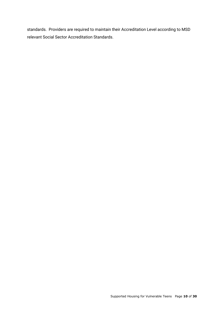standards. Providers are required to maintain their Accreditation Level according to MSD relevant Social Sector Accreditation Standards.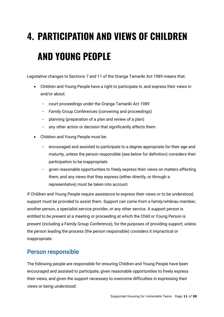# <span id="page-10-0"></span>**4. PARTICIPATION AND VIEWS OF CHILDREN AND YOUNG PEOPLE**

Legislative changes to Sections 7 and 11 of the Oranga Tamariki Act 1989 means that:

- Children and Young People have a right to participate in, and express their views in and/or about:
	- court proceedings under the Oranga Tamariki Act 1989
	- Family Group Conferences (convening and proceedings)
	- planning (preparation of a plan and review of a plan)
	- any other action or decision that significantly affects them.
- Children and Young People must be:
	- encouraged and assisted to participate to a degree appropriate for their age and maturity, unless the person responsible (see below for definition) considers their participation to be inappropriate
	- given reasonable opportunities to freely express their views on matters affecting them, and any views that they express (either directly, or through a representative) must be taken into account.

If Children and Young People require assistance to express their views or to be understood, support must be provided to assist them. Support can come from a family/whānau member, another person, a specialist service provider, or any other service. A support person is entitled to be present at a meeting or proceeding at which the Child or Young Person is present (including a Family Group Conference), for the purposes of providing support, unless the person leading the process (the person responsible) considers it impractical or inappropriate.

### <span id="page-10-1"></span>Person responsible

The following people are responsible for ensuring Children and Young People have been encouraged and assisted to participate, given reasonable opportunities to freely express their views, and given the support necessary to overcome difficulties in expressing their views or being understood: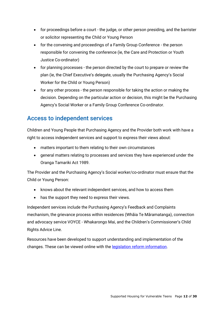- for proceedings before a court the judge, or other person presiding, and the barrister or solicitor representing the Child or Young Person
- for the convening and proceedings of a Family Group Conference the person responsible for convening the conference (ie, the Care and Protection or Youth Justice Co-ordinator)
- for planning processes the person directed by the court to prepare or review the plan (ie, the Chief Executive's delegate, usually the Purchasing Agency's Social Worker for the Child or Young Person)
- for any other process the person responsible for taking the action or making the decision. Depending on the particular action or decision, this might be the Purchasing Agency's Social Worker or a Family Group Conference Co-ordinator.

### <span id="page-11-0"></span>Access to independent services

Children and Young People that Purchasing Agency and the Provider both work with have a right to access independent services and support to express their views about:

- matters important to them relating to their own circumstances
- general matters relating to processes and services they have experienced under the Oranga Tamariki Act 1989.

The Provider and the Purchasing Agency's Social worker/co-ordinator must ensure that the Child or Young Person:

- knows about the relevant independent services, and how to access them
- has the support they need to express their views.

Independent services include the Purchasing Agency's Feedback and Complaints mechanism, the grievance process within residences (Whāia Te Māramatanga), connection and advocacy service VOYCE - Whakarongo Mai, and the Children's Commissioner's Child Rights Advice Line.

Resources have been developed to support understanding and implementation of the changes. These can be viewed online with the **legislation reform information**.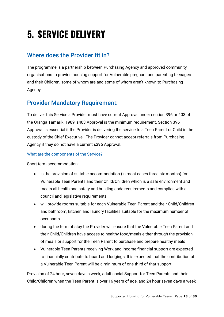# <span id="page-12-0"></span>**5. SERVICE DELIVERY**

# <span id="page-12-1"></span>Where does the Provider fit in?

The programme is a partnership between Purchasing Agency and approved community organisations to provide housing support for Vulnerable pregnant and parenting teenagers and their Children, some of whom are and some of whom aren't known to Purchasing Agency.

### <span id="page-12-2"></span>Provider Mandatory Requirement:

To deliver this Service a Provider must have current Approval under section 396 or 403 of the Oranga Tamariki 1989, s403 Approval is the minimum requirement. Section 396 Approval is essential if the Provider is delivering the service to a Teen Parent or Child in the custody of the Chief Executive. The Provider cannot accept referrals from Purchasing Agency if they do not have a current s396 Approval.

#### What are the components of the Service?

Short term accommodation:

- is the provision of suitable accommodation (in most cases three-six months) for Vulnerable Teen Parents and their Child/Children which is a safe environment and meets all health and safety and building code requirements and complies with all council and legislative requirements
- will provide rooms suitable for each Vulnerable Teen Parent and their Child/Children and bathroom, kitchen and laundry facilities suitable for the maximum number of occupants
- during the term of stay the Provider will ensure that the Vulnerable Teen Parent and their Child/Children have access to healthy food/meals either through the provision of meals or support for the Teen Parent to purchase and prepare healthy meals
- Vulnerable Teen Parents receiving Work and Income financial support are expected to financially contribute to board and lodgings. It is expected that the contribution of a Vulnerable Teen Parent will be a minimum of one third of that support.

Provision of 24 hour, seven days a week, adult social Support for Teen Parents and their Child/Children when the Teen Parent is over 16 years of age, and 24 hour seven days a week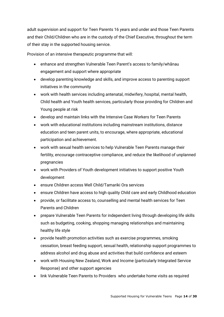adult supervision and support for Teen Parents 16 years and under and those Teen Parents and their Child/Children who are in the custody of the Chief Executive, throughout the term of their stay in the supported housing service.

Provision of an intensive therapeutic programme that will:

- enhance and strengthen Vulnerable Teen Parent's access to family/whānau engagement and support where appropriate
- develop parenting knowledge and skills, and improve access to parenting support initiatives in the community
- work with health services including antenatal, midwifery, hospital, mental health, Child health and Youth health services, particularly those providing for Children and Young people at risk
- develop and maintain links with the Intensive Case Workers for Teen Parents
- work with educational institutions including mainstream institutions, distance education and teen parent units, to encourage, where appropriate, educational participation and achievement.
- work with sexual health services to help Vulnerable Teen Parents manage their fertility, encourage contraceptive compliance, and reduce the likelihood of unplanned pregnancies
- work with Providers of Youth development initiatives to support positive Youth development
- ensure Children access Well Child/Tamariki Ora services
- ensure Children have access to high quality Child care and early Childhood education
- provide, or facilitate access to, counselling and mental health services for Teen Parents and Children
- prepare Vulnerable Teen Parents for independent living through developing life skills such as budgeting, cooking, shopping managing relationships and maintaining healthy life style
- provide health promotion activities such as exercise programmes, smoking cessation, breast feeding support, sexual health, relationship support programmes to address alcohol and drug abuse and activities that build confidence and esteem
- work with Housing New Zealand, Work and Income (particularly Integrated Service Response) and other support agencies
- link Vulnerable Teen Parents to Providers who undertake home visits as required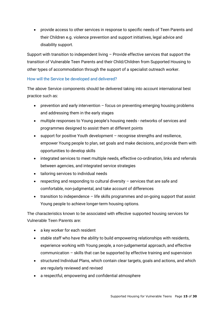provide access to other services in response to specific needs of Teen Parents and their Children e.g. violence prevention and support initiatives, legal advice and disability support.

Support with transition to independent living – Provide effective services that support the transition of Vulnerable Teen Parents and their Child/Children from Supported Housing to other types of accommodation through the support of a specialist outreach worker.

#### <span id="page-14-0"></span>How will the Service be developed and delivered?

The above Service components should be delivered taking into account international best practice such as:

- prevention and early intervention focus on preventing emerging housing problems and addressing them in the early stages
- multiple responses to Young people's housing needs networks of services and programmes designed to assist them at different points
- support for positive Youth development recognise strengths and resilience, empower Young people to plan, set goals and make decisions, and provide them with opportunities to develop skills
- integrated services to meet multiple needs, effective co-ordination, links and referrals between agencies, and integrated service strategies
- tailoring services to individual needs
- **•** respecting and responding to cultural diversity  $-$  services that are safe and comfortable, non-judgmental, and take account of differences
- transition to independence life skills programmes and on-going support that assist Young people to achieve longer-term housing options.

The characteristics known to be associated with effective supported housing services for Vulnerable Teen Parents are:

- a key worker for each resident
- stable staff who have the ability to build empowering relationships with residents, experience working with Young people, a non-judgemental approach, and effective communication – skills that can be supported by effective training and supervision
- structured Individual Plans, which contain clear targets, goals and actions, and which are regularly reviewed and revised
- a respectful, empowering and confidential atmosphere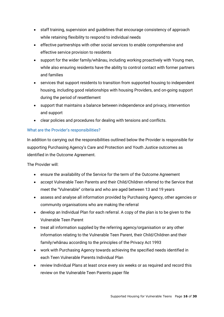- staff training, supervision and guidelines that encourage consistency of approach while retaining flexibility to respond to individual needs
- effective partnerships with other social services to enable comprehensive and effective service provision to residents
- support for the wider family/whānau, including working proactively with Young men, while also ensuring residents have the ability to control contact with former partners and families
- services that support residents to transition from supported housing to independent housing, including good relationships with housing Providers, and on-going support during the period of resettlement
- support that maintains a balance between independence and privacy, intervention and support
- clear policies and procedures for dealing with tensions and conflicts.

#### What are the Provider's responsibilities?

In addition to carrying out the responsibilities outlined below the Provider is responsible for supporting Purchasing Agency's Care and Protection and Youth Justice outcomes as identified in the Outcome Agreement.

The Provider will:

- ensure the availability of the Service for the term of the Outcome Agreement
- accept Vulnerable Teen Parents and their Child/Children referred to the Service that meet the "Vulnerable" criteria and who are aged between 13 and 19 years
- assess and analyse all information provided by Purchasing Agency, other agencies or community organisations who are making the referral
- develop an Individual Plan for each referral. A copy of the plan is to be given to the Vulnerable Teen Parent
- treat all information supplied by the referring agency/organisation or any other information relating to the Vulnerable Teen Parent, their Child/Children and their family/whānau according to the principles of the Privacy Act 1993
- work with Purchasing Agency towards achieving the specified needs identified in each Teen Vulnerable Parents Individual Plan
- review Individual Plans at least once every six weeks or as required and record this review on the Vulnerable Teen Parents paper file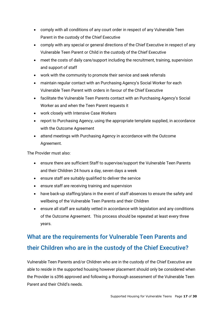- comply with all conditions of any court order in respect of any Vulnerable Teen Parent in the custody of the Chief Executive
- comply with any special or general directions of the Chief Executive in respect of any Vulnerable Teen Parent or Child in the custody of the Chief Executive
- meet the costs of daily care/support including the recruitment, training, supervision and support of staff
- work with the community to promote their service and seek referrals
- maintain regular contact with an Purchasing Agency's Social Worker for each Vulnerable Teen Parent with orders in favour of the Chief Executive
- facilitate the Vulnerable Teen Parents contact with an Purchasing Agency's Social Worker as and when the Teen Parent requests it
- work closely with Intensive Case Workers
- report to Purchasing Agency, using the appropriate template supplied, in accordance with the Outcome Agreement
- attend meetings with Purchasing Agency in accordance with the Outcome Agreement.

The Provider must also:

- ensure there are sufficient Staff to supervise/support the Vulnerable Teen Parents and their Children 24 hours a day, seven days a week
- ensure staff are suitably qualified to deliver the service
- ensure staff are receiving training and supervision
- have back-up staffing/plans in the event of staff absences to ensure the safety and wellbeing of the Vulnerable Teen Parents and their Children
- ensure all staff are suitably vetted in accordance with legislation and any conditions of the Outcome Agreement. This process should be repeated at least every three years.

# <span id="page-16-0"></span>What are the requirements for Vulnerable Teen Parents and their Children who are in the custody of the Chief Executive?

Vulnerable Teen Parents and/or Children who are in the custody of the Chief Executive are able to reside in the supported housing however placement should only be considered when the Provider is s396 approved and following a thorough assessment of the Vulnerable Teen Parent and their Child's needs.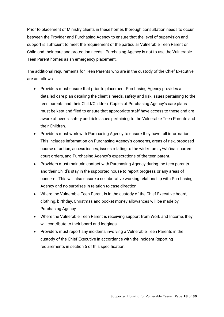Prior to placement of Ministry clients in these homes thorough consultation needs to occur between the Provider and Purchasing Agency to ensure that the level of supervision and support is sufficient to meet the requirement of the particular Vulnerable Teen Parent or Child and their care and protection needs. Purchasing Agency is not to use the Vulnerable Teen Parent homes as an emergency placement.

The additional requirements for Teen Parents who are in the custody of the Chief Executive are as follows:

- Providers must ensure that prior to placement Purchasing Agency provides a detailed care plan detailing the client's needs, safety and risk issues pertaining to the teen parents and their Child/Children. Copies of Purchasing Agency's care plans must be kept and filed to ensure that appropriate staff have access to these and are aware of needs, safety and risk issues pertaining to the Vulnerable Teen Parents and their Children.
- Providers must work with Purchasing Agency to ensure they have full information. This includes information on Purchasing Agency's concerns, areas of risk, proposed course of action, access issues, issues relating to the wider family/whānau, current court orders, and Purchasing Agency's expectations of the teen parent.
- Providers must maintain contact with Purchasing Agency during the teen parents and their Child's stay in the supported house to report progress or any areas of concern. This will also ensure a collaborative working relationship with Purchasing Agency and no surprises in relation to case direction.
- Where the Vulnerable Teen Parent is in the custody of the Chief Executive board, clothing, birthday, Christmas and pocket money allowances will be made by Purchasing Agency.
- Where the Vulnerable Teen Parent is receiving support from Work and Income, they will contribute to their board and lodgings.
- Providers must report any incidents involving a Vulnerable Teen Parents in the custody of the Chief Executive in accordance with the Incident Reporting requirements in section 5 of this specification.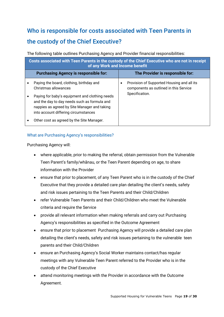# <span id="page-18-0"></span>Who is responsible for costs associated with Teen Parents in the custody of the Chief Executive?

The following table outlines Purchasing Agency and Provider financial responsibilities:

| Costs associated with Teen Parents in the custody of the Chief Executive who are not in receipt<br>of any Work and Income benefit |                                                                                                                                                                                        |  |                                                                                      |  |                |
|-----------------------------------------------------------------------------------------------------------------------------------|----------------------------------------------------------------------------------------------------------------------------------------------------------------------------------------|--|--------------------------------------------------------------------------------------|--|----------------|
|                                                                                                                                   | <b>Purchasing Agency is responsible for:</b>                                                                                                                                           |  | The Provider is responsible for:                                                     |  |                |
|                                                                                                                                   | Paying the board, clothing, birthday and<br>Christmas allowances                                                                                                                       |  | Provision of Supported Housing and all its<br>components as outlined in this Service |  |                |
|                                                                                                                                   | Paying for baby's equipment and clothing needs<br>and the day to day needs such as formula and<br>nappies as agreed by Site Manager and taking<br>into account differing circumstances |  |                                                                                      |  | Specification. |
|                                                                                                                                   | Other cost as agreed by the Site Manager.                                                                                                                                              |  |                                                                                      |  |                |

#### <span id="page-18-1"></span>What are Purchasing Agency's responsibilities?

Purchasing Agency will:

- where applicable, prior to making the referral, obtain permission from the Vulnerable Teen Parent's family/whānau, or the Teen Parent depending on age, to share information with the Provider
- ensure that prior to placement, of any Teen Parent who is in the custody of the Chief Executive that they provide a detailed care plan detailing the client's needs, safety and risk issues pertaining to the Teen Parents and their Child/Children
- refer Vulnerable Teen Parents and their Child/Children who meet the Vulnerable criteria and require the Service
- provide all relevant information when making referrals and carry out Purchasing Agency's responsibilities as specified in the Outcome Agreement
- ensure that prior to placement Purchasing Agency will provide a detailed care plan detailing the client's needs, safety and risk issues pertaining to the vulnerable teen parents and their Child/Children
- ensure an Purchasing Agency's Social Worker maintains contact/has regular meetings with any Vulnerable Teen Parent referred to the Provider who is in the custody of the Chief Executive
- attend monitoring meetings with the Provider in accordance with the Outcome Agreement.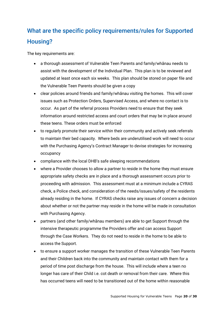# <span id="page-19-0"></span>What are the specific policy requirements/rules for Supported Housing?

The key requirements are:

- a thorough assessment of Vulnerable Teen Parents and family/whānau needs to assist with the development of the Individual Plan. This plan is to be reviewed and updated at least once each six weeks. This plan should be stored on paper file and the Vulnerable Teen Parents should be given a copy
- clear policies around friends and family/whānau visiting the homes. This will cover issues such as Protection Orders, Supervised Access, and where no contact is to occur. As part of the referral process Providers need to ensure that they seek information around restricted access and court orders that may be in place around these teens. These orders must be enforced
- to regularly promote their service within their community and actively seek referrals to maintain their bed capacity. Where beds are underutilised work will need to occur with the Purchasing Agency's Contract Manager to devise strategies for increasing occupancy
- compliance with the local DHB's safe sleeping recommendations
- where a Provider chooses to allow a partner to reside in the home they must ensure appropriate safety checks are in place and a thorough assessment occurs prior to proceeding with admission. This assessment must at a minimum include a CYRAS check, a Police check, and consideration of the needs/issues/safety of the residents already residing in the home. If CYRAS checks raise any issues of concern a decision about whether or not the partner may reside in the home will be made in consultation with Purchasing Agency.
- partners (and other family/whānau members) are able to get Support through the intensive therapeutic programme the Providers offer and can access Support through the Case Workers. They do not need to reside in the home to be able to access the Support.
- to ensure a support worker manages the transition of these Vulnerable Teen Parents and their Children back into the community and maintain contact with them for a period of time post discharge from the house. This will include where a teen no longer has care of their Child i.e. cot death or removal from their care. Where this has occurred teens will need to be transitioned out of the home within reasonable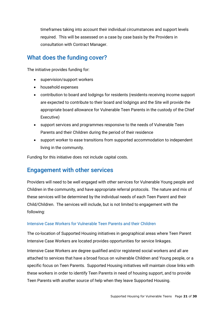timeframes taking into account their individual circumstances and support levels required. This will be assessed on a case by case basis by the Providers in consultation with Contract Manager.

## <span id="page-20-0"></span>What does the funding cover?

The initiative provides funding for:

- supervision/support workers
- household expenses
- contribution to board and lodgings for residents (residents receiving income support are expected to contribute to their board and lodgings and the Site will provide the appropriate board allowance for Vulnerable Teen Parents in the custody of the Chief Executive)
- support services and programmes responsive to the needs of Vulnerable Teen Parents and their Children during the period of their residence
- support worker to ease transitions from supported accommodation to independent living in the community.

Funding for this initiative does not include capital costs.

### <span id="page-20-1"></span>Engagement with other services

Providers will need to be well engaged with other services for Vulnerable Young people and Children in the community, and have appropriate referral protocols. The nature and mix of these services will be determined by the individual needs of each Teen Parent and their Child/Children. The services will include, but is not limited to engagement with the following:

#### Intensive Case Workers for Vulnerable Teen Parents and their Children

The co-location of Supported Housing initiatives in geographical areas where Teen Parent Intensive Case Workers are located provides opportunities for service linkages.

Intensive Case Workers are degree qualified and/or registered social workers and all are attached to services that have a broad focus on vulnerable Children and Young people, or a specific focus on Teen Parents. Supported Housing initiatives will maintain close links with these workers in order to identify Teen Parents in need of housing support, and to provide Teen Parents with another source of help when they leave Supported Housing.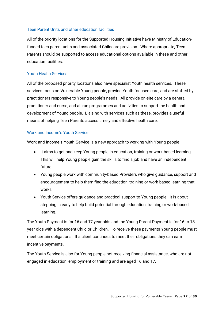#### Teen Parent Units and other education facilities

All of the priority locations for the Supported Housing initiative have Ministry of Educationfunded teen parent units and associated Childcare provision. Where appropriate, Teen Parents should be supported to access educational options available in these and other education facilities.

#### Youth Health Services

All of the proposed priority locations also have specialist Youth health services. These services focus on Vulnerable Young people, provide Youth-focused care, and are staffed by practitioners responsive to Young people's needs. All provide on-site care by a general practitioner and nurse, and all run programmes and activities to support the health and development of Young people. Liaising with services such as these, provides a useful means of helping Teen Parents access timely and effective health care.

#### Work and Income's Youth Service

Work and Income's Youth Service is a new approach to working with Young people:

- It aims to get and keep Young people in education, training or work-based learning. This will help Young people gain the skills to find a job and have an independent future.
- Young people work with community-based Providers who give guidance, support and encouragement to help them find the education, training or work-based learning that works.
- Youth Service offers guidance and practical support to Young people. It is about stepping in early to help build potential through education, training or work-based learning.

The Youth Payment is for 16 and 17 year olds and the Young Parent Payment is for 16 to 18 year olds with a dependent Child or Children. To receive these payments Young people must meet certain obligations. If a client continues to meet their obligations they can earn incentive payments.

The Youth Service is also for Young people not receiving financial assistance, who are not engaged in education, employment or training and are aged 16 and 17.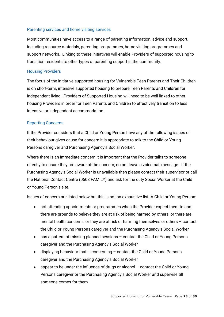#### Parenting services and home visiting services

Most communities have access to a range of parenting information, advice and support, including resource materials, parenting programmes, home visiting programmes and support networks. Linking to these initiatives will enable Providers of supported housing to transition residents to other types of parenting support in the community.

#### Housing Providers

The focus of the initiative supported housing for Vulnerable Teen Parents and Their Children is on short-term, intensive supported housing to prepare Teen Parents and Children for independent living. Providers of Supported Housing will need to be well linked to other housing Providers in order for Teen Parents and Children to effectively transition to less intensive or independent accommodation.

#### Reporting Concerns

If the Provider considers that a Child or Young Person have any of the following issues or their behaviour gives cause for concern it is appropriate to talk to the Child or Young Persons caregiver and Purchasing Agency's Social Worker.

Where there is an immediate concern it is important that the Provider talks to someone directly to ensure they are aware of the concern; do not leave a voicemail message. If the Purchasing Agency's Social Worker is unavailable then please contact their supervisor or call the National Contact Centre (0508 FAMILY) and ask for the duty Social Worker at the Child or Young Person's site.

Issues of concern are listed below but this is not an exhaustive list. A Child or Young Person:

- not attending appointments or programmes when the Provider expect them to and there are grounds to believe they are at risk of being harmed by others, or there are mental health concerns, or they are at risk of harming themselves or others – contact the Child or Young Persons caregiver and the Purchasing Agency's Social Worker
- has a pattern of missing planned sessions contact the Child or Young Persons caregiver and the Purchasing Agency's Social Worker
- displaying behaviour that is concerning contact the Child or Young Persons caregiver and the Purchasing Agency's Social Worker
- appear to be under the influence of drugs or alcohol contact the Child or Young Persons caregiver or the Purchasing Agency's Social Worker and supervise till someone comes for them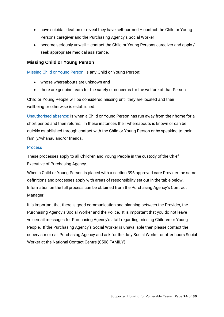- have suicidal ideation or reveal they have self-harmed contact the Child or Young Persons caregiver and the Purchasing Agency's Social Worker
- become seriously unwell contact the Child or Young Persons caregiver and apply / seek appropriate medical assistance.

#### <span id="page-23-0"></span>**Missing Child or Young Person**

Missing Child or Young Person: is any Child or Young Person:

- whose whereabouts are unknown **and**
- there are genuine fears for the safety or concerns for the welfare of that Person.

Child or Young People will be considered missing until they are located and their wellbeing or otherwise is established.

Unauthorised absence: is when a Child or Young Person has run away from their home for a short period and then returns. In these instances their whereabouts is known or can be quickly established through contact with the Child or Young Person or by speaking to their family/whānau and/or friends.

#### **Process**

These processes apply to all Children and Young People in the custody of the Chief Executive of Purchasing Agency.

When a Child or Young Person is placed with a section 396 approved care Provider the same definitions and processes apply with areas of responsibility set out in the table below. Information on the full process can be obtained from the Purchasing Agency's Contract Manager.

It is important that there is good communication and planning between the Provider, the Purchasing Agency's Social Worker and the Police. It is important that you do not leave voicemail messages for Purchasing Agency's staff regarding missing Children or Young People. If the Purchasing Agency's Social Worker is unavailable then please contact the supervisor or call Purchasing Agency and ask for the duty Social Worker or after hours Social Worker at the National Contact Centre (0508 FAMILY).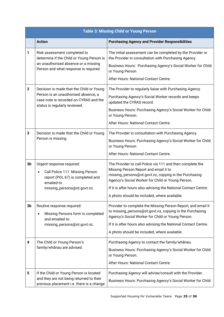| <b>Table 3: Missing Child or Young Person</b> |                                                                                                                                                             |                                                                                                                                                                                                                                                                                                                                     |  |
|-----------------------------------------------|-------------------------------------------------------------------------------------------------------------------------------------------------------------|-------------------------------------------------------------------------------------------------------------------------------------------------------------------------------------------------------------------------------------------------------------------------------------------------------------------------------------|--|
|                                               | <b>Action</b>                                                                                                                                               | <b>Purchasing Agency and Provider Responsibilities</b>                                                                                                                                                                                                                                                                              |  |
| 1                                             | Risk assessment completed to<br>determine if the Child or Young Person is<br>an unauthorised absence or a missing<br>Person and what response is required.  | The initial assessment can be completed by the Provider or<br>the Provider in consultation with Purchasing Agency.<br>Business Hours: Purchasing Agency's Social Worker for Child<br>or Young Person<br>After Hours: National Contact Centre.                                                                                       |  |
| $\mathbf{2}$                                  | Decision is made that the Child or Young<br>Person is an unauthorised absence, a<br>case note is recorded on CYRAS and the<br>status is regularly reviewed. | The Provider to regularly liaise with Purchasing Agency.<br>Purchasing Agency's Social Worker records and keeps<br>updated the CYRAS record.<br>Business Hours: Purchasing Agency's Social Worker for Child<br>or Young Person.<br>After Hours: National Contact Centre.                                                            |  |
| 3                                             | Decision is made that the Child or Young<br>Person is missing.                                                                                              | The Provider in consultation with Purchasing Agency.<br>Business Hours: Purchasing Agency's Social Worker for Child<br>or Young Person<br>After Hours: National Contact Centre.                                                                                                                                                     |  |
| 3 <sub>b</sub>                                | Urgent response required:<br>Call Police 111. Missing Person<br>$\bullet$<br>report (POL 67) is completed and<br>emailed to<br>missing_persons@ot.govt.nz.  | The Provider to call Police via 111 and then complete the<br>Missing Person Report and email it to<br>missing_persons@ot.govt.nz, copying in the Purchasing<br>Agency's Social Worker for Child or Young Person.<br>If it is after hours also advising the National Contact Centre.<br>A photo should be included, where available. |  |
| 3b                                            | Routine response required:<br>Missing Persons form is completed<br>$\bullet$<br>and emailed to:<br>missing_persons@ot.govt.nz.                              | Provider to complete the Missing Person Report, and email it<br>to missing_persons@ot.govt.nz, copying in the Purchasing<br>Agency's Social Worker for Child or Young Person.<br>If it is after hours also advising the National Contact Centre.<br>A photo should be included, where available.                                    |  |
| 4                                             | The Child or Young Person's<br>family/whanau are advised.                                                                                                   | Purchasing Agency to contact the family/whanau.<br>Business Hours: Purchasing Agency's Social Worker for Child<br>or Young Person.<br>After Hours: National Contact Centre.                                                                                                                                                         |  |
| 5                                             | If the Child or Young Person is located<br>and they are not being returned to their<br>previous placement i.e. there is a change                            | Purchasing Agency will advise/consult with the Provider.<br>Business Hours: Purchasing Agency's Social Worker for Child                                                                                                                                                                                                             |  |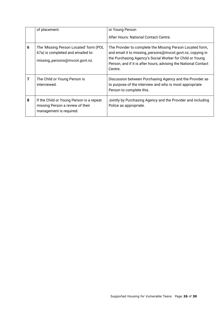|   | of placement.                                                                                                 | or Young Person<br>After Hours: National Contact Centre.                                                                                                                                                                                                         |
|---|---------------------------------------------------------------------------------------------------------------|------------------------------------------------------------------------------------------------------------------------------------------------------------------------------------------------------------------------------------------------------------------|
| 6 | The 'Missing Person Located' form (POL<br>67a) is completed and emailed to:<br>missing_persons@mvcot.govt.nz. | The Provider to complete the Missing Person Located form,<br>and email it to missing_persons@mvcot.govt.nz, copying in<br>the Purchasing Agency's Social Worker for Child or Young<br>Person, and if it is after hours, advising the National Contact<br>Centre. |
| 7 | The Child or Young Person is<br>interviewed.                                                                  | Discussion between Purchasing Agency and the Provider as<br>to purpose of the interview and who is most appropriate<br>Person to complete this.                                                                                                                  |
| 8 | If the Child or Young Person is a repeat<br>missing Person a review of their<br>management is required.       | Jointly by Purchasing Agency and the Provider and including<br>Police as appropriate.                                                                                                                                                                            |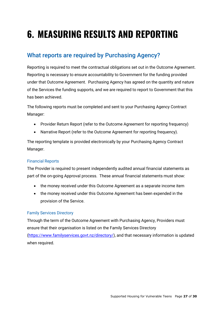# <span id="page-26-0"></span>**6. MEASURING RESULTS AND REPORTING**

# <span id="page-26-1"></span>What reports are required by Purchasing Agency?

Reporting is required to meet the contractual obligations set out in the Outcome Agreement. Reporting is necessary to ensure accountability to Government for the funding provided under that Outcome Agreement. Purchasing Agency has agreed on the quantity and nature of the Services the funding supports, and we are required to report to Government that this has been achieved.

The following reports must be completed and sent to your Purchasing Agency Contract Manager:

- Provider Return Report (refer to the Outcome Agreement for reporting frequency)
- Narrative Report (refer to the Outcome Agreement for reporting frequency).

The reporting template is provided electronically by your Purchasing Agency Contract Manager.

#### <span id="page-26-2"></span>Financial Reports

The Provider is required to present independently audited annual financial statements as part of the on-going Approval process. These annual financial statements must show:

- the money received under this Outcome Agreement as a separate income item
- the money received under this Outcome Agreement has been expended in the provision of the Service.

#### <span id="page-26-3"></span>Family Services Directory

Through the term of the Outcome Agreement with Purchasing Agency, Providers must ensure that their organisation is listed on the Family Services Directory [\(https://www.familyservices.govt.nz/directory/\)](https://www.familyservices.govt.nz/directory/), and that necessary information is updated when required.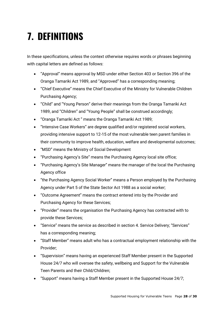# <span id="page-27-0"></span>**7. DEFINITIONS**

In these specifications, unless the context otherwise requires words or phrases beginning with capital letters are defined as follows:

- "Approval" means approval by MSD under either Section 403 or Section 396 of the Oranga Tamariki Act 1989, and "Approved" has a corresponding meaning;
- "Chief Executive" means the Chief Executive of the Ministry for Vulnerable Children Purchasing Agency;
- "Child" and "Young Person" derive their meanings from the Oranga Tamariki Act 1989, and "Children" and "Young People" shall be construed accordingly;
- "Oranga Tamariki Act " means the Oranga Tamariki Act 1989;
- "Intensive Case Workers" are degree qualified and/or registered social workers, providing intensive support to 12-15 of the most vulnerable teen parent families in their community to improve health, education, welfare and developmental outcomes;
- "MSD" means the Ministry of Social Development
- "Purchasing Agency's Site" means the Purchasing Agency local site office;
- "Purchasing Agency's Site Manager" means the manager of the local the Purchasing Agency office
- "the Purchasing Agency Social Worker" means a Person employed by the Purchasing Agency under Part 5 of the State Sector Act 1988 as a social worker;
- "Outcome Agreement" means the contract entered into by the Provider and Purchasing Agency for these Services;
- "Provider" means the organisation the Purchasing Agency has contracted with to provide these Services;
- "Service" means the service as described in section 4. Service Delivery; "Services" has a corresponding meaning;
- "Staff Member" means adult who has a contractual employment relationship with the Provider;
- "Supervision" means having an experienced Staff Member present in the Supported House 24/7 who will oversee the safety, wellbeing and Support for the Vulnerable Teen Parents and their Child/Children;
- "Support" means having a Staff Member present in the Supported House 24/7;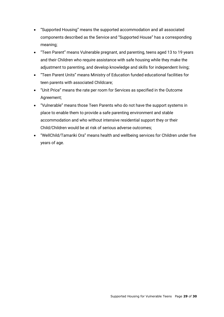- "Supported Housing" means the supported accommodation and all associated components described as the Service and "Supported House" has a corresponding meaning;
- "Teen Parent" means Vulnerable pregnant, and parenting, teens aged 13 to 19 years and their Children who require assistance with safe housing while they make the adjustment to parenting, and develop knowledge and skills for independent living;
- "Teen Parent Units" means Ministry of Education funded educational facilities for teen parents with associated Childcare;
- "Unit Price" means the rate per room for Services as specified in the Outcome Agreement;
- "Vulnerable" means those Teen Parents who do not have the support systems in place to enable them to provide a safe parenting environment and stable accommodation and who without intensive residential support they or their Child/Children would be at risk of serious adverse outcomes;
- "WellChild/Tamariki Ora" means health and wellbeing services for Children under five years of age.